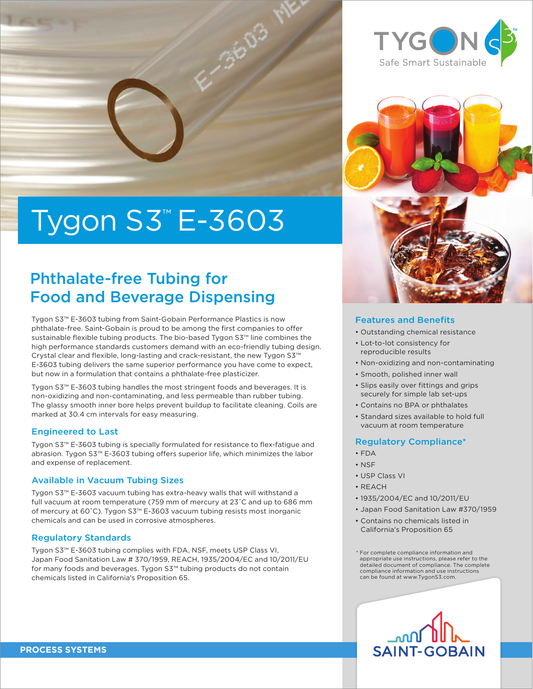# Tygon S3™ E-3603

### Phthalate-free Tubing for Food and Beverage Dispensing

Tygon S3™ E-3603 tubing from Saint-Gobain Performance Plastics is now phthalate-free. Saint-Gobain is proud to be among the first companies to offer sustainable flexible tubing products. The bio-based Tygon S3™ line combines the high performance standards customers demand with an eco-friendly tubing design. Crystal clear and flexible, long-lasting and crack-resistant, the new Tygon S3™ E-3603 tubing delivers the same superior performance you have come to expect, but now in a formulation that contains a phthalate-free plasticizer.

Tygon S3™ E-3603 tubing handles the most stringent foods and beverages. It is non-oxidizing and non-contaminating, and less permeable than rubber tubing. The glassy smooth inner bore helps prevent buildup to facilitate cleaning. Coils are marked at 30.4 cm intervals for easy measuring.

#### Engineered to Last

Tygon S3™ E-3603 tubing is specially formulated for resistance to flex-fatigue and abrasion. Tygon S3™ E-3603 tubing offers superior life, which minimizes the labor and expense of replacement.

#### Available in Vacuum Tubing Sizes

Tygon S3™ E-3603 vacuum tubing has extra-heavy walls that will withstand a full vacuum at room temperature (759 mm of mercury at 23˚C and up to 686 mm of mercury at 60˚C). Tygon S3™ E-3603 vacuum tubing resists most inorganic chemicals and can be used in corrosive atmospheres.

#### Regulatory Standards

Tygon S3™ E-3603 tubing complies with FDA, NSF, meets USP Class VI, Japan Food Sanitation Law # 370/1959, REACH, 1935/2004/EC and 10/2011/EU for many foods and beverages. Tygon S3™ tubing products do not contain chemicals listed in California's Proposition 65.





#### Features and Benefits

- Outstanding chemical resistance
- Lot-to-lot consistency for reproducible results
- Non-oxidizing and non-contaminating
- Smooth, polished inner wall
- Slips easily over fittings and grips securely for simple lab set-ups
- Contains no BPA or phthalates
- Standard sizes available to hold full vacuum at room temperature

#### Regulatory Compliance\*

- $\cdot$ FDA
- NSF
- USP Class VI
- REACH
- 1935/2004/EC and 10/2011/EU
- Japan Food Sanitation Law #370/1959
- Contains no chemicals listed in California's Proposition 65

\* For complete compliance information and appropriate use instructions, please refer to the detailed document of compliance. The complete compliance information and use instructions can be found at www.TygonS3.com.